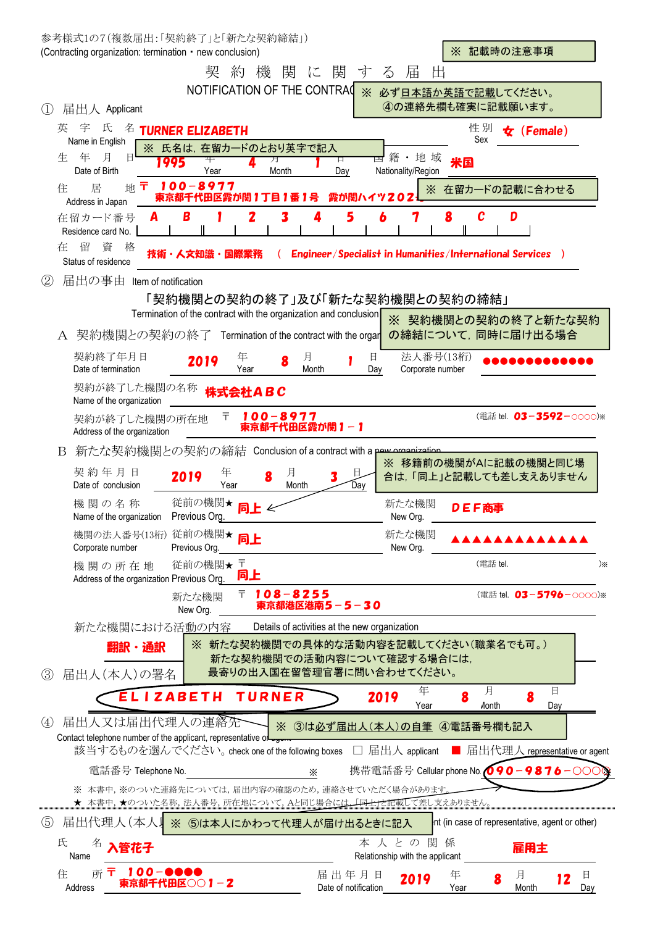| 参考様式1の7(複数届出:「契約終了」と「新たな契約締結」)<br>(Contracting organization: termination • new conclusion)                 | ※ 記載時の注意事項                                                                         |
|------------------------------------------------------------------------------------------------------------|------------------------------------------------------------------------------------|
| 契<br>約<br>機<br>関                                                                                           | 閣<br>届<br>に<br>出<br>寸<br>$\delta$                                                  |
| NOTIFICATION OF THE CONTRAC                                                                                | ※ 必ず日本語か英語で記載してください。                                                               |
| 届出人 Applicant<br>(1)                                                                                       | 4の連絡先欄も確実に記載願います。                                                                  |
| 宇<br>氏<br>英<br>名<br><b>TURNER ELIZABETH</b>                                                                | 性別<br>(Female)<br>tz.                                                              |
| Name in English<br>※ 氏名は、在留カードのとおり英字で記入<br>月<br>年                                                          | Sex                                                                                |
| 生<br>日<br>月<br>995<br>Date of Birth<br>Month<br>Year                                                       | ・地域<br>籍<br>口<br>米国<br>Nationality/Region<br>Day                                   |
| 100-8977<br>地〒<br>居<br>在留カードの記載に合わせる<br>住<br>$\times$<br>霞が関ハイツ202<br>東京都千代田区霞が関1丁目1番1<br>Address in Japan |                                                                                    |
| B<br>2<br>3<br>在留カード番号<br>A<br>Residence card No.                                                          | 5<br>C<br>D<br>6<br>8<br>4                                                         |
| 留<br>資<br>格<br>在<br>技術・人文知識<br>国際業務<br>Status of residence                                                 | Engineer/Specialist in Humanities/International Services )                         |
| 届出の事由<br>(2)<br>Item of notification                                                                       |                                                                                    |
|                                                                                                            | 「契約機関との契約の終了」及び「新たな契約機関との契約の締結」                                                    |
| Termination of the contract with the organization and conclusion                                           | ※ 契約機関との契約の終了と新たな契約                                                                |
| 契約機関との契約の終了 Termination of the contract with the orgar<br>A                                                | の締結について、同時に届け出る場合                                                                  |
| 契約終了年月日<br>年<br>月<br>2019<br>Date of termination<br>Month<br>Year                                          | 法人番号(13桁)<br>目<br>Day<br>Corporate number                                          |
| 契約が終了した機関の名称<br>株式会社ABC<br>Name of the organization                                                        |                                                                                    |
| $100 - 8977$<br>〒<br>契約が終了した機関の所在地<br>東京都千代田区霞が関1-1<br>Address of the organization                         | (電話 tel. 03-3592-0000)※                                                            |
| 新たな契約機関との契約の締結 Conclusion of a contract with a powerconization<br>B                                        |                                                                                    |
| 契約年月日<br>年<br>月<br>2019<br>8<br>Date of conclusion<br>Year<br>Month                                        | ※ 移籍前の機関がAに記載の機関と同じ場<br>目<br>合は、「同上」と記載しても差し支えありません<br>Day                         |
| 従前の機関★<br>機関の名称<br>Previous Org.<br>Name of the organization                                               | 新たな機関<br>DEF商事<br>New Org                                                          |
| 機関の法人番号(13桁) 従前の機関★<br>同上<br>Corporate number<br>Previous Org.                                             | 新たな機関<br>New Org.                                                                  |
| 従前の機関★〒<br>機関の所在地<br>同上<br>Address of the organization Previous Org.                                       | (電話 tel.<br>$)\times$                                                              |
| $108 - 8255$<br>ᆍ<br>新たな機関<br>New Org.                                                                     | (電話 tel. 03-5796-0000)※<br>東京都港区港南5-5-30                                           |
| 新たな機関における活動の内容                                                                                             | Details of activities at the new organization                                      |
| 翻訳・通訳                                                                                                      | ※ 新たな契約機関での具体的な活動内容を記載してください(職業名でも可。)                                              |
| 届出人(本人)の署名<br>(3)                                                                                          | 新たな契約機関での活動内容について確認する場合には、<br>最寄りの出入国在留管理官署に問い合わせてください。                            |
| <b>ELIZABETH</b><br><b>TURNER</b>                                                                          | 月<br>年<br>日<br>2019<br>8<br>Year<br><b><i>A</i>onth</b><br>Day                     |
| 届出人又は届出代理人の連絡先<br>(4)                                                                                      | ※ 3は必ず届出人(本人)の自筆 4電話番号欄も記入                                                         |
| Contact telephone number of the applicant, representative of way                                           |                                                                                    |
| 該当するものを選んでください。 check one of the following boxes □ 届出人 applicant                                           | ■ 届出代理人 representative or agent                                                    |
| 電話番号 Telephone No.<br>X<br>※ 本書中,※のついた連絡先については,届出内容の確認のため,連絡させていただく場合があります                                 | 携帯電話番号 Cellular phone No. <mark>〇 9 0 - 9 8 7 6</mark> - 〇〇                        |
| ★ 本書中, ★のついた名称, 法人番号, 所在地について, Aと同じ場合 <u>には, 「同士」を記載し</u> て差し支えありません。                                      |                                                                                    |
| $\circled{5}$<br>届出代理人(本人)<br>※ 5は本人にかわって代理人が届け出るときに記入                                                     | Int (in case of representative, agent or other)                                    |
| 氏<br>名<br>氧花子<br>Name                                                                                      | 本人との関係<br>雇用主<br>Relationship with the applicant                                   |
| <mark>_1 0 0 − ●●●●</mark><br>東京都千代田区○○ 1 − <b>2</b><br>住<br>所工<br>Address                                 | 届出年月日<br>年<br>月<br>Ħ<br>2019<br>12<br>Date of notification<br>Month<br>Day<br>Year |